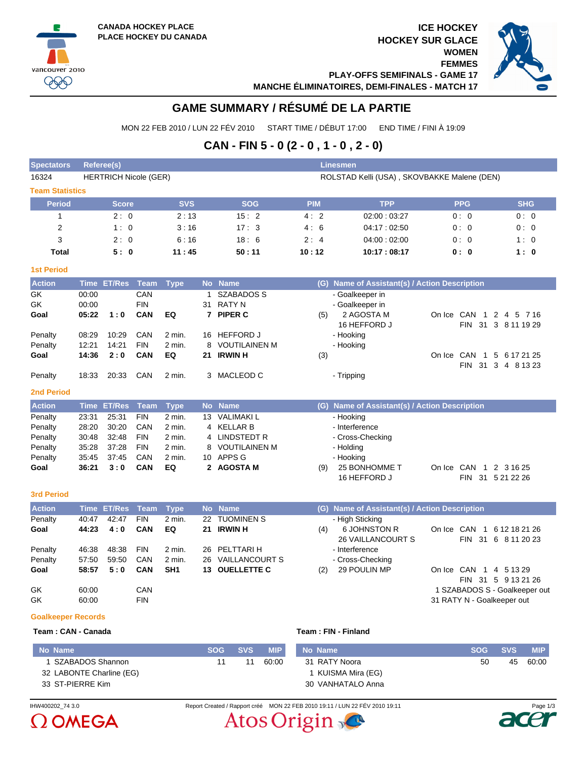



**PLAY-OFFS SEMIFINALS - GAME 17 MANCHE ÉLIMINATOIRES, DEMI-FINALES - MATCH 17**

# **GAME SUMMARY / RÉSUMÉ DE LA PARTIE**

MON 22 FEB 2010 / LUN 22 FÉV 2010 START TIME / DÉBUT 17:00 END TIME / FINI À 19:09

# **CAN - FIN 5 - 0 (2 - 0 , 1 - 0 , 2 - 0)**

| <b>Spectators</b>      | Referee(s)<br><b>Linesmen</b> |            |            |            |                                             |            |            |  |  |  |  |  |
|------------------------|-------------------------------|------------|------------|------------|---------------------------------------------|------------|------------|--|--|--|--|--|
| 16324                  | <b>HERTRICH Nicole (GER)</b>  |            |            |            | ROLSTAD Kelli (USA), SKOVBAKKE Malene (DEN) |            |            |  |  |  |  |  |
| <b>Team Statistics</b> |                               |            |            |            |                                             |            |            |  |  |  |  |  |
| <b>Period</b>          | <b>Score</b>                  | <b>SVS</b> | <b>SOG</b> | <b>PIM</b> | <b>TPP</b>                                  | <b>PPG</b> | <b>SHG</b> |  |  |  |  |  |
|                        | 2:0                           | 2:13       | 15:2       | 4:2        | 02:00:03:27                                 | 0:0        | 0:0        |  |  |  |  |  |
| 2                      | 1:0                           | 3:16       | 17:3       | 4:6        | 04:17:02:50                                 | 0:0        | 0:0        |  |  |  |  |  |
| 3                      | 2:0                           | 6:16       | 18:6       | 2:4        | 04:00:02:00                                 | 0:0        | 1:0        |  |  |  |  |  |
| <b>Total</b>           | 5:0                           | 11:45      | 50:11      | 10:12      | 10:17:08:17                                 | 0: 0       | 1:0        |  |  |  |  |  |

### **1st Period**

vancouver 2010 **PPP** 

| <b>Action</b> |       | Time ET/Res Team Type |            |        | No Name         |     | (G) Name of Assistant(s) / Action Description |        |                  |                 |  |
|---------------|-------|-----------------------|------------|--------|-----------------|-----|-----------------------------------------------|--------|------------------|-----------------|--|
| GK            | 00:00 |                       | CAN        |        | SZABADOS S      |     | - Goalkeeper in                               |        |                  |                 |  |
| GK            | 00:00 |                       | <b>FIN</b> |        | 31 RATY N       |     | - Goalkeeper in                               |        |                  |                 |  |
| Goal          | 05:22 | 1:0                   | <b>CAN</b> | EQ     | 7 PIPER C       | (5) | 2 AGOSTA M                                    | On Ice | CAN 1 2 4 5 7 16 |                 |  |
|               |       |                       |            |        |                 |     | 16 HEFFORD J                                  |        | <b>FIN</b>       | 31 3 8 11 19 29 |  |
| Penalty       | 08:29 | 10:29                 | CAN        | 2 min. | 16 HEFFORD J    |     | - Hooking                                     |        |                  |                 |  |
| Penalty       | 12:21 | 14:21                 | <b>FIN</b> | 2 min. | 8 VOUTILAINEN M |     | - Hooking                                     |        |                  |                 |  |
| Goal          | 14:36 | 2:0                   | <b>CAN</b> | EQ     | 21 IRWIN H      | (3) |                                               | On Ice | CAN 1            | 5 6 17 21 25    |  |
|               |       |                       |            |        |                 |     |                                               |        | <b>FIN</b>       | 31 3 4 8 13 23  |  |
| Penalty       | 18:33 | 20.33                 | CAN        | 2 min. | 3 MACLEOD C     |     | - Tripping                                    |        |                  |                 |  |

### **2nd Period**

| <b>Action</b> |       | Time ET/Res Team Type |            |          |    | No Name         |     | (G) Name of Assistant(s) / Action Description |            |             |             |  |
|---------------|-------|-----------------------|------------|----------|----|-----------------|-----|-----------------------------------------------|------------|-------------|-------------|--|
| Penalty       | 23:31 | 25:31                 | <b>FIN</b> | 2 min.   | 13 | VALIMAKI L      |     | - Hooking                                     |            |             |             |  |
| Penalty       | 28:20 | 30:20                 | CAN        | 2 min.   |    | 4 KELLAR B      |     | - Interference                                |            |             |             |  |
| Penalty       | 30:48 | 32:48                 | <b>FIN</b> | 2 min.   |    | 4 LINDSTEDT R   |     | - Cross-Checking                              |            |             |             |  |
| Penalty       | 35.28 | 37:28                 | <b>FIN</b> | $2$ min. |    | 8 VOUTILAINEN M |     | - Holding                                     |            |             |             |  |
| Penalty       | 35:45 | 37:45                 | CAN        | $2$ min. |    | 10 APPS G       |     | - Hooking                                     |            |             |             |  |
| Goal          | 36:21 | 3:0                   | <b>CAN</b> | EQ       |    | 2 AGOSTA M      | (9) | 25 BONHOMME T                                 | On Ice CAN |             | 1 2 3 16 25 |  |
|               |       |                       |            |          |    |                 |     | 16 HEFFORD J                                  |            | FIN.<br>-31 | 5 21 22 26  |  |

### **3rd Period**

| <b>Action</b> |       | Time ET/Res Team |            | <b>Type</b>     | No Name           |     | (G) Name of Assistant(s) / Action Description |            |                               |  |
|---------------|-------|------------------|------------|-----------------|-------------------|-----|-----------------------------------------------|------------|-------------------------------|--|
| Penalty       | 40.47 | 42:47            | <b>FIN</b> | 2 min.          | 22 TUOMINEN S     |     | - High Sticking                               |            |                               |  |
| Goal          | 44:23 | 4:0              | <b>CAN</b> | EQ              | 21 IRWIN H        | (4) | 6 JOHNSTON R                                  | On Ice CAN | 6 12 18 21 26                 |  |
|               |       |                  |            |                 |                   |     | <b>26 VAILLANCOURT S</b>                      |            | 31 6 8 11 20 23<br>FIN        |  |
| Penalty       | 46:38 | 48:38            | <b>FIN</b> | 2 min.          | 26 PELTTARIH      |     | - Interference                                |            |                               |  |
| Penalty       | 57:50 | 59:50            | CAN        | 2 min.          | 26 VAILLANCOURT S |     | - Cross-Checking                              |            |                               |  |
| Goal          | 58:57 | 5:0              | <b>CAN</b> | SH <sub>1</sub> | 13 OUELLETTE C    | (2) | 29 POULIN MP                                  | On Ice CAN | 4 5 1 3 2 9<br>. 1.           |  |
|               |       |                  |            |                 |                   |     |                                               |            | FIN 31 5 9 13 21 26           |  |
| GK            | 60:00 |                  | CAN        |                 |                   |     |                                               |            | 1 SZABADOS S - Goalkeeper out |  |
| GK            | 60:00 |                  | <b>FIN</b> |                 |                   |     |                                               |            | 31 RATY N - Goalkeeper out    |  |

### **Goalkeeper Records**

|  |  |  |  | Team: CAN - Canada |
|--|--|--|--|--------------------|
|--|--|--|--|--------------------|

# **Team : CAN - Canada Team : FIN - Finland**

| No Name                  | SOG | <b>SVS</b> | <b>MIP</b> | No Name            | SOG SVS |    | <b>MIP</b> |
|--------------------------|-----|------------|------------|--------------------|---------|----|------------|
| 1 SZABADOS Shannon       | 11  | 11         | 60:00      | 31 RATY Noora      | 50      | 45 | 60:00      |
| 32 LABONTE Charline (EG) |     |            |            | 1 KUISMA Mira (EG) |         |    |            |
| 33 ST-PIERRE Kim         |     |            |            | 30 VANHATALO Anna  |         |    |            |



IHW400202\_74 3.0 Report Created / Rapport créé MON 22 FEB 2010 19:11 / LUN 22 FÉV 2010 19:11 Page 1/3Atos Origin

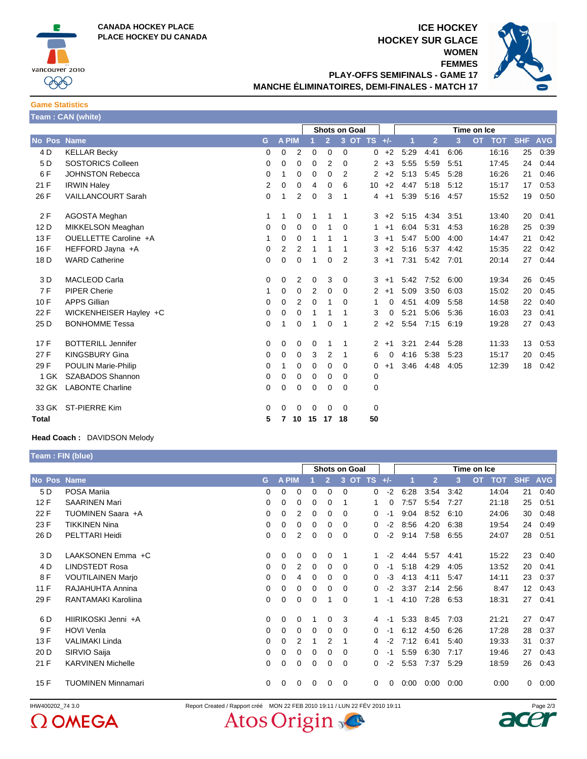

# **ICE HOCKEY HOCKEY SUR GLACE WOMEN**

**FEMMES**



**PLAY-OFFS SEMIFINALS - GAME 17 MANCHE ÉLIMINATOIRES, DEMI-FINALES - MATCH 17**

## **Game Statistics**

**Team : CAN (white)**

|              |                            |                |                |                | <b>Shots on Goal</b> |                |             |                 |             | Time on Ice |                |      |           |            |            |            |
|--------------|----------------------------|----------------|----------------|----------------|----------------------|----------------|-------------|-----------------|-------------|-------------|----------------|------|-----------|------------|------------|------------|
| No Pos Name  |                            | G              | A PIM          |                |                      | $\overline{2}$ |             | 3 OT TS +/-     |             | 1           | $\overline{2}$ | 3    | <b>OT</b> | <b>TOT</b> | <b>SHF</b> | <b>AVG</b> |
| 4 D          | <b>KELLAR Becky</b>        | $\Omega$       | $\Omega$       | 2              | $\Omega$             | 0              | $\Omega$    | 0               | $+2$        | 5:29        | 4:41           | 6:06 |           | 16:16      | 25         | 0:39       |
| 5D           | <b>SOSTORICS Colleen</b>   | $\mathbf 0$    | 0              | 0              | 0                    | 2              | $\Omega$    | 2               | $+3$        | 5:55        | 5:59           | 5:51 |           | 17:45      | 24         | 0:44       |
| 6F           | <b>JOHNSTON Rebecca</b>    | 0              | 1              | 0              | 0                    | 0              | 2           | $\overline{2}$  | $+2$        | 5:13        | 5:45           | 5:28 |           | 16:26      | 21         | 0:46       |
| 21 F         | <b>IRWIN Haley</b>         | $\overline{2}$ | $\Omega$       | 0              | 4                    | 0              | 6           | 10 <sup>°</sup> | $+2$        | 4:47        | 5:18           | 5:12 |           | 15:17      | 17         | 0.53       |
| 26 F         | <b>VAILLANCOURT Sarah</b>  | $\mathbf 0$    | 1              | $\overline{2}$ | 0                    | 3              | $\mathbf 1$ | 4               | $+1$        | 5:39        | 5:16           | 4:57 |           | 15:52      | 19         | 0:50       |
| 2F           | AGOSTA Meghan              | -1             | 1              | 0              | 1                    | 1              | 1           | 3               | $+2$        | 5:15        | 4:34           | 3:51 |           | 13:40      | 20         | 0:41       |
| 12 D         | MIKKELSON Meaghan          | 0              | 0              | 0              | $\Omega$             |                | $\Omega$    | $\mathbf{1}$    | $+1$        | 6:04        | 5:31           | 4:53 |           | 16:28      | 25         | 0:39       |
| 13F          | OUELLETTE Caroline +A      | 1              | 0              | $\mathbf 0$    | 1                    |                | 1           | 3               | $+1$        | 5:47        | 5:00           | 4:00 |           | 14:47      | 21         | 0.42       |
| 16 F         | HEFFORD Jayna +A           | 0              | $\overline{2}$ | $\overline{2}$ | 1                    | 1              | 1           | 3               | $+2$        | 5:16        | 5:37           | 4:42 |           | 15:35      | 22         | 0:42       |
| 18 D         | <b>WARD Catherine</b>      | 0              | $\mathbf 0$    | 0              | 1                    | 0              | 2           | 3               | $+1$        | 7:31        | 5:42 7:01      |      |           | 20:14      | 27         | 0:44       |
| 3 D          | <b>MACLEOD Carla</b>       | 0              | 0              | 2              | 0                    | 3              | 0           | 3               | $+1$        | 5:42        | 7:52           | 6:00 |           | 19:34      | 26         | 0:45       |
| 7F           | <b>PIPER Cherie</b>        | 1              | 0              | 0              | 2                    | $\Omega$       | $\Omega$    | $\overline{2}$  | $+1$        | 5:09        | 3:50           | 6:03 |           | 15:02      | 20         | 0:45       |
| 10F          | <b>APPS Gillian</b>        | 0              | 0              | 2              | 0                    | 1              | 0           | 1               | 0           | 4:51        | 4:09           | 5:58 |           | 14:58      | 22         | 0:40       |
| 22 F         | WICKENHEISER Hayley +C     | 0              | $\mathbf 0$    | 0              | 1                    |                | 1           | 3               | 0           | 5:21        | 5:06           | 5:36 |           | 16:03      | 23         | 0:41       |
| 25 D         | <b>BONHOMME Tessa</b>      | 0              | 1              | 0              | 1                    | 0              | -1          | $\overline{2}$  | $+2$        | 5:54        | 7:15           | 6:19 |           | 19:28      | 27         | 0:43       |
| 17 F         | <b>BOTTERILL Jennifer</b>  | 0              | 0              | 0              | 0                    |                | 1           | 2               | $+1$        | 3:21        | 2:44           | 5:28 |           | 11:33      | 13         | 0.53       |
| 27 F         | <b>KINGSBURY Gina</b>      | 0              | 0              | 0              | 3                    | 2              | 1           | 6               | $\mathbf 0$ | 4:16        | 5:38           | 5:23 |           | 15:17      | 20         | 0:45       |
| 29 F         | <b>POULIN Marie-Philip</b> | 0              | 1              | 0              | 0                    | $\Omega$       | $\Omega$    | 0               | $+1$        | 3:46        | 4:48           | 4:05 |           | 12:39      | 18         | 0:42       |
| 1 GK         | SZABADOS Shannon           | 0              | 0              | 0              | 0                    | 0              | 0           | 0               |             |             |                |      |           |            |            |            |
| 32 GK        | <b>LABONTE Charline</b>    | 0              | $\Omega$       | 0              | 0                    | 0              | 0           | 0               |             |             |                |      |           |            |            |            |
| 33 GK        | <b>ST-PIERRE Kim</b>       | $\Omega$       | 0              | 0              | $\Omega$             | $\Omega$       | $\Omega$    | 0               |             |             |                |      |           |            |            |            |
| <b>Total</b> |                            | 5              | 7              | 10             | 15                   | 17             | 18          | 50              |             |             |                |      |           |            |            |            |

### **Head Coach :** DAVIDSON Melody

**Team : FIN (blue)**

|                | $1$ value $1$ is $\sqrt{N}$ |             |              |                      |          |                |                     |     |             |      |      |                |           |            |                   |            |
|----------------|-----------------------------|-------------|--------------|----------------------|----------|----------------|---------------------|-----|-------------|------|------|----------------|-----------|------------|-------------------|------------|
|                |                             |             |              | <b>Shots on Goal</b> |          |                |                     |     | Time on Ice |      |      |                |           |            |                   |            |
| No Pos Name    |                             | G.          | <b>A PIM</b> |                      |          | $\overline{2}$ | 3<br>$\overline{O}$ | TS. | $+/-$       |      | 2    | $\overline{3}$ | <b>OT</b> | <b>TOT</b> | <b>SHF</b>        | <b>AVG</b> |
| 5 D            | <b>POSA Marija</b>          | 0           | 0            | 0                    | $\Omega$ | 0              | $\mathbf 0$         | 0   | $-2$        | 6:28 | 3:54 | 3:42           |           | 14:04      | 21                | 0:40       |
| 12F            | <b>SAARINEN Mari</b>        | 0           | 0            | 0                    | 0        | 0              |                     |     | 0           | 7:57 | 5:54 | 7:27           |           | 21:18      | 25                | 0:51       |
| 22 F           | TUOMINEN Saara +A           | 0           | 0            | 2                    | 0        | 0              | $\Omega$            | 0   | -1          | 9:04 | 8:52 | 6:10           |           | 24:06      | 30                | 0:48       |
| 23 F           | <b>TIKKINEN Nina</b>        | 0           | 0            | 0                    | 0        | 0              | 0                   | 0   | $-2$        | 8:56 | 4:20 | 6:38           |           | 19:54      | 24                | 0:49       |
| 26 D           | PELTTARI Heidi              | $\mathbf 0$ | $\Omega$     | 2                    | $\Omega$ | 0              | 0                   | 0   | $-2$        | 9:14 | 7:58 | 6:55           |           | 24:07      | 28                | 0:51       |
| 3 D            | LAAKSONEN Emma +C           | 0           | 0            | 0                    | 0        | 0              |                     |     | $-2$        | 4:44 | 5:57 | 4:41           |           | 15:22      | 23                | 0:40       |
| 4 <sub>D</sub> | <b>LINDSTEDT Rosa</b>       | 0           | 0            | 2                    | 0        | 0              | $\Omega$            | 0   | -1          | 5:18 | 4:29 | 4:05           |           | 13:52      | 20                | 0:41       |
| 8F             | <b>VOUTILAINEN Marjo</b>    | $\Omega$    | 0            | 4                    | 0        | 0              | $\Omega$            | 0   | -3          | 4:13 | 4:11 | 5:47           |           | 14:11      | 23                | 0:37       |
| 11F            | RAJAHUHTA Annina            | 0           | 0            | 0                    | 0        | 0              | 0                   | 0   | -2          | 3:37 | 2:14 | 2:56           |           | 8:47       | $12 \overline{ }$ | 0:43       |
| 29 F           | RANTAMAKI Karoliina         | 0           | 0            | 0                    | 0        |                | 0                   |     | -1          | 4:10 | 7:28 | 6:53           |           | 18:31      | 27                | 0:41       |
| 6 D            | HIIRIKOSKI Jenni +A         | 0           | 0            | 0                    |          | 0              | 3                   | 4   | -1          | 5:33 | 8:45 | 7:03           |           | 21:21      | 27                | 0:47       |
| 9F             | <b>HOVI Venla</b>           | 0           | 0            | 0                    | 0        | 0              | $\Omega$            | 0   | -1          | 6:12 | 4:50 | 6:26           |           | 17:28      | 28                | 0:37       |
| 13F            | <b>VALIMAKI Linda</b>       | 0           | 0            | 2                    |          | 2              |                     | 4   | -2          | 7:12 | 6:41 | 5:40           |           | 19:33      | 31                | 0:37       |
| 20 D           | SIRVIO Saija                | 0           | 0            | 0                    | 0        | 0              | 0                   | 0   | -1          | 5:59 | 6:30 | 7:17           |           | 19:46      | 27                | 0:43       |
| 21 F           | <b>KARVINEN Michelle</b>    | $\Omega$    | 0            | 0                    | $\Omega$ | 0              | 0                   | 0   | $-2$        | 5:53 | 7:37 | 5:29           |           | 18:59      | 26                | 0:43       |
| 15F            | <b>TUOMINEN Minnamari</b>   | 0           | 0            | 0                    | 0        | 0              | 0                   | 0   | 0           | 0:00 | 0:00 | 0:00           |           | 0:00       | $\Omega$          | 0:00       |